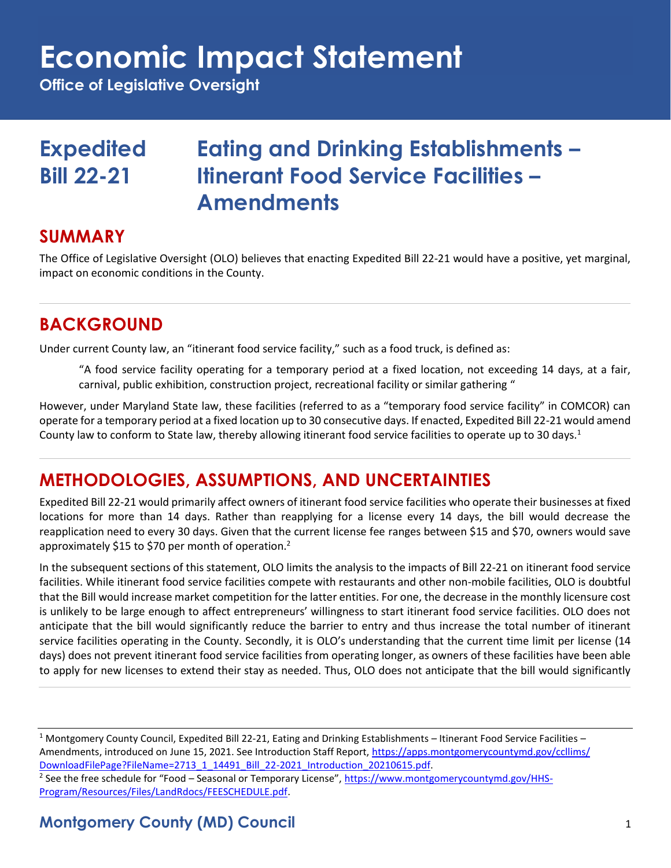## **Economic Impact Statement**

**Office of Legislative Oversight**

## **Expedited Eating and Drinking Establishments – Bill 22-21 Itinerant Food Service Facilities – Amendments**

### **SUMMARY**

The Office of Legislative Oversight (OLO) believes that enacting Expedited Bill 22-21 would have a positive, yet marginal, impact on economic conditions in the County.

## **BACKGROUND**

Under current County law, an "itinerant food service facility," such as a food truck, is defined as:

"A food service facility operating for a temporary period at a fixed location, not exceeding 14 days, at a fair, carnival, public exhibition, construction project, recreational facility or similar gathering "

However, under Maryland State law, these facilities (referred to as a "temporary food service facility" in COMCOR) can operate for a temporary period at a fixed location up to 30 consecutive days. If enacted, Expedited Bill 22-21 would amend County law to conform to State law, thereby allowing itinerant food service facilities to operate up to 30 days.<sup>1</sup>

## **METHODOLOGIES, ASSUMPTIONS, AND UNCERTAINTIES**

Expedited Bill 22-21 would primarily affect owners of itinerant food service facilities who operate their businesses at fixed locations for more than 14 days. Rather than reapplying for a license every 14 days, the bill would decrease the reapplication need to every 30 days. Given that the current license fee ranges between \$15 and \$70, owners would save approximately \$15 to \$70 per month of operation.<sup>2</sup>

In the subsequent sections of this statement, OLO limits the analysis to the impacts of Bill 22-21 on itinerant food service facilities. While itinerant food service facilities compete with restaurants and other non-mobile facilities, OLO is doubtful that the Bill would increase market competition for the latter entities. For one, the decrease in the monthly licensure cost is unlikely to be large enough to affect entrepreneurs' willingness to start itinerant food service facilities. OLO does not anticipate that the bill would significantly reduce the barrier to entry and thus increase the total number of itinerant service facilities operating in the County. Secondly, it is OLO's understanding that the current time limit per license (14 days) does not prevent itinerant food service facilities from operating longer, as owners of these facilities have been able to apply for new licenses to extend their stay as needed. Thus, OLO does not anticipate that the bill would significantly

<sup>1</sup> Montgomery County Council, Expedited Bill 22-21, Eating and Drinking Establishments – Itinerant Food Service Facilities – Amendments, introduced on June 15, 2021. See Introduction Staff Report, [https://apps.montgomerycountymd.gov/ccllims/](https://apps.montgomerycountymd.gov/ccllims/DownloadFilePage?FileName=2713_1_14491_Bill_22-2021_Introduction_20210615.pdf) [DownloadFilePage?FileName=2713\\_1\\_14491\\_Bill\\_22-2021\\_Introduction\\_20210615.pdf.](https://apps.montgomerycountymd.gov/ccllims/DownloadFilePage?FileName=2713_1_14491_Bill_22-2021_Introduction_20210615.pdf)

<sup>2</sup> See the free schedule for "Food – Seasonal or Temporary License", [https://www.montgomerycountymd.gov/HHS-](https://www.montgomerycountymd.gov/HHS-Program/Resources/Files/LandRdocs/FEESCHEDULE.pdf)[Program/Resources/Files/LandRdocs/FEESCHEDULE.pdf.](https://www.montgomerycountymd.gov/HHS-Program/Resources/Files/LandRdocs/FEESCHEDULE.pdf)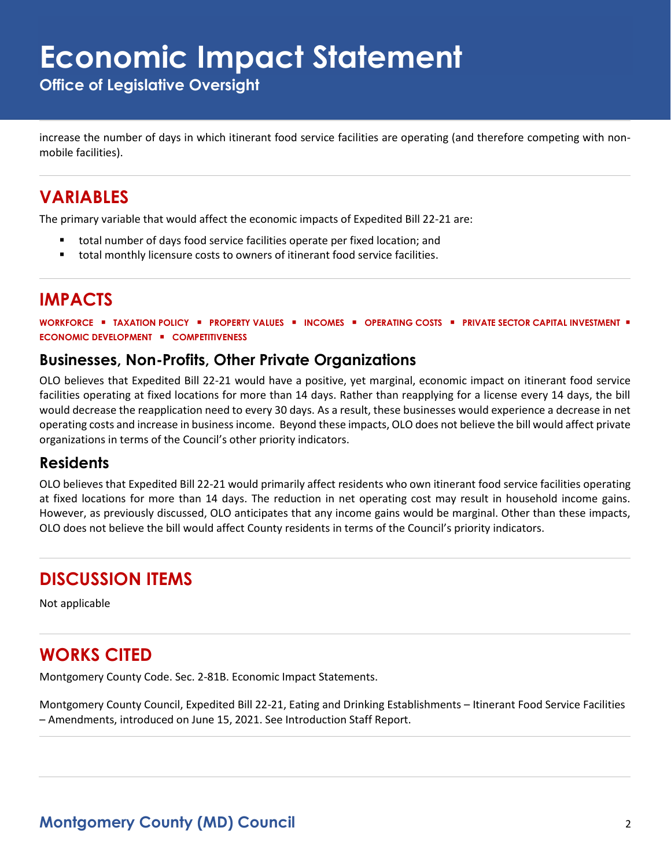## **Economic Impact Statement**

**Office of Legislative Oversight**

increase the number of days in which itinerant food service facilities are operating (and therefore competing with nonmobile facilities).

### **VARIABLES**

The primary variable that would affect the economic impacts of Expedited Bill 22-21 are:

- total number of days food service facilities operate per fixed location; and
- total monthly licensure costs to owners of itinerant food service facilities.

### **IMPACTS**

**WORKFORCE** ▪ **TAXATION POLICY** ▪ **PROPERTY VALUES** ▪ **INCOMES** ▪ **OPERATING COSTS** ▪ **PRIVATE SECTOR CAPITAL INVESTMENT** ▪ **ECONOMIC DEVELOPMENT** ▪ **COMPETITIVENESS**

#### **Businesses, Non-Profits, Other Private Organizations**

OLO believes that Expedited Bill 22-21 would have a positive, yet marginal, economic impact on itinerant food service facilities operating at fixed locations for more than 14 days. Rather than reapplying for a license every 14 days, the bill would decrease the reapplication need to every 30 days. As a result, these businesses would experience a decrease in net operating costs and increase in business income. Beyond these impacts, OLO does not believe the bill would affect private organizations in terms of the Council's other priority indicators.

#### **Residents**

OLO believes that Expedited Bill 22-21 would primarily affect residents who own itinerant food service facilities operating at fixed locations for more than 14 days. The reduction in net operating cost may result in household income gains. However, as previously discussed, OLO anticipates that any income gains would be marginal. Other than these impacts, OLO does not believe the bill would affect County residents in terms of the Council's priority indicators.

## **DISCUSSION ITEMS**

Not applicable

## **WORKS CITED**

Montgomery County Code. Sec. 2-81B. Economic Impact Statements.

Montgomery County Council, Expedited Bill 22-21, Eating and Drinking Establishments – Itinerant Food Service Facilities – Amendments, introduced on June 15, 2021. See Introduction Staff Report.